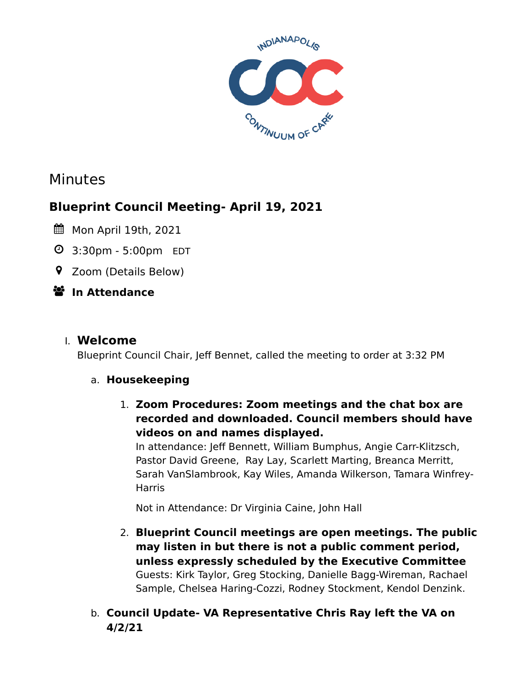

# Minutes

# **Blueprint Council Meeting- April 19, 2021**

- Mon April 19th, 2021
- 3:30pm 5:00pm EDT
- Zoom (Details Below)

# **In Attendance**

## I. **Welcome**

Blueprint Council Chair, Jeff Bennet, called the meeting to order at 3:32 PM

### a. **Housekeeping**

1. **Zoom Procedures: Zoom meetings and the chat box are recorded and downloaded. Council members should have videos on and names displayed.**

In attendance: Jeff Bennett, William Bumphus, Angie Carr-Klitzsch, Pastor David Greene, Ray Lay, Scarlett Marting, Breanca Merritt, Sarah VanSlambrook, Kay Wiles, Amanda Wilkerson, Tamara Winfrey-Harris

Not in Attendance: Dr Virginia Caine, John Hall

- 2. **Blueprint Council meetings are open meetings. The public may listen in but there is not a public comment period, unless expressly scheduled by the Executive Committee** Guests: Kirk Taylor, Greg Stocking, Danielle Bagg-Wireman, Rachael Sample, Chelsea Haring-Cozzi, Rodney Stockment, Kendol Denzink.
- b. **Council Update- VA Representative Chris Ray left the VA on 4/2/21**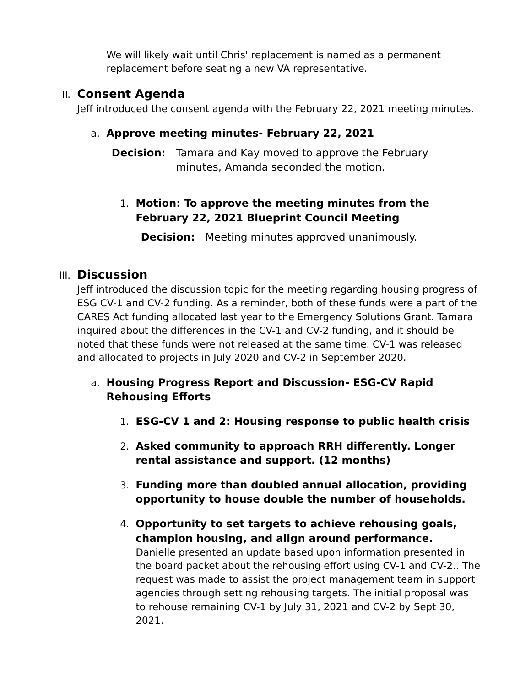We will likely wait until Chris' replacement is named as a permanent replacement before seating a new VA representative.

## II. **Consent Agenda**

Jeff introduced the consent agenda with the February 22, 2021 meeting minutes.

#### a. **Approve meeting minutes- February 22, 2021**

**Decision:** Tamara and Kay moved to approve the February minutes, Amanda seconded the motion.

## 1. **Motion: To approve the meeting minutes from the February 22, 2021 Blueprint Council Meeting**

**Decision:** Meeting minutes approved unanimously.

### III. **Discussion**

Jeff introduced the discussion topic for the meeting regarding housing progress of ESG CV-1 and CV-2 funding. As a reminder, both of these funds were a part of the CARES Act funding allocated last year to the Emergency Solutions Grant. Tamara inquired about the differences in the CV-1 and CV-2 funding, and it should be noted that these funds were not released at the same time. CV-1 was released and allocated to projects in July 2020 and CV-2 in September 2020.

### a. **Housing Progress Report and Discussion- ESG-CV Rapid Rehousing Efforts**

- 1. **ESG-CV 1 and 2: Housing response to public health crisis**
- 2. **Asked community to approach RRH differently. Longer rental assistance and support. (12 months)**
- 3. **Funding more than doubled annual allocation, providing opportunity to house double the number of households.**
- 4. **Opportunity to set targets to achieve rehousing goals, champion housing, and align around performance.** Danielle presented an update based upon information presented in the board packet about the rehousing effort using CV-1 and CV-2.. The request was made to assist the project management team in support agencies through setting rehousing targets. The initial proposal was to rehouse remaining CV-1 by July 31, 2021 and CV-2 by Sept 30, 2021.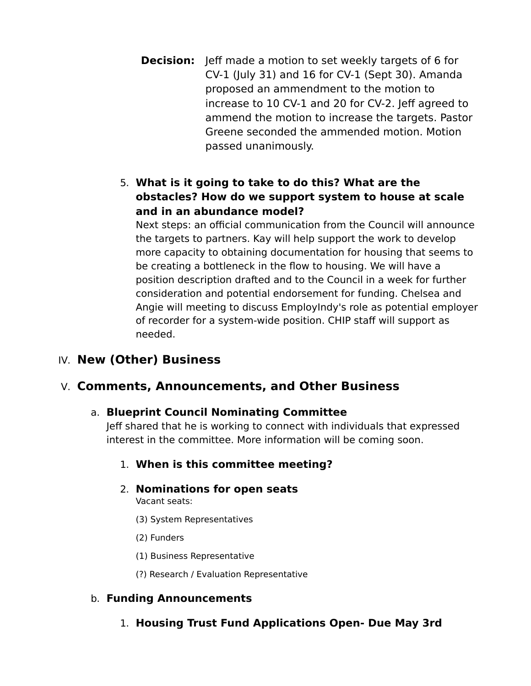- **Decision:** Jeff made a motion to set weekly targets of 6 for CV-1 (July 31) and 16 for CV-1 (Sept 30). Amanda proposed an ammendment to the motion to increase to 10 CV-1 and 20 for CV-2. Jeff agreed to ammend the motion to increase the targets. Pastor Greene seconded the ammended motion. Motion passed unanimously.
- 5. **What is it going to take to do this? What are the obstacles? How do we support system to house at scale and in an abundance model?**

Next steps: an official communication from the Council will announce the targets to partners. Kay will help support the work to develop more capacity to obtaining documentation for housing that seems to be creating a bottleneck in the flow to housing. We will have a position description drafted and to the Council in a week for further consideration and potential endorsement for funding. Chelsea and Angie will meeting to discuss EmployIndy's role as potential employer of recorder for a system-wide position. CHIP staff will support as needed.

## IV. **New (Other) Business**

### V. **Comments, Announcements, and Other Business**

#### a. **Blueprint Council Nominating Committee**

Jeff shared that he is working to connect with individuals that expressed interest in the committee. More information will be coming soon.

#### 1. **When is this committee meeting?**

2. **Nominations for open seats**

Vacant seats:

- (3) System Representatives
- (2) Funders
- (1) Business Representative
- (?) Research / Evaluation Representative

#### b. **Funding Announcements**

1. **Housing Trust Fund Applications Open- Due May 3rd**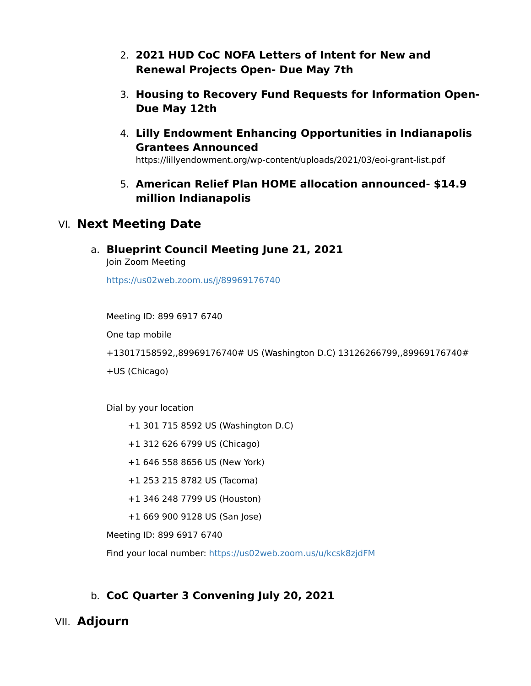- 2. **2021 HUD CoC NOFA Letters of Intent for New and Renewal Projects Open- Due May 7th**
- 3. **Housing to Recovery Fund Requests for Information Open-Due May 12th**
- 4. **Lilly Endowment Enhancing Opportunities in Indianapolis Grantees Announced**

https://lillyendowment.org/wp-content/uploads/2021/03/eoi-grant-list.pdf

5. **American Relief Plan HOME allocation announced- \$14.9 million Indianapolis**

#### VI. **Next Meeting Date**

a. **Blueprint Council Meeting June 21, 2021**

Join Zoom Meeting

<https://us02web.zoom.us/j/89969176740>

Meeting ID: 899 6917 6740 One tap mobile +13017158592,,89969176740# US (Washington D.C) 13126266799,,89969176740# +US (Chicago)

Dial by your location

- +1 301 715 8592 US (Washington D.C)
- +1 312 626 6799 US (Chicago)
- +1 646 558 8656 US (New York)
- +1 253 215 8782 US (Tacoma)
- +1 346 248 7799 US (Houston)
- +1 669 900 9128 US (San Jose)

Meeting ID: 899 6917 6740

Find your local number:<https://us02web.zoom.us/u/kcsk8zjdFM>

### b. **CoC Quarter 3 Convening July 20, 2021**

### VII. **Adjourn**